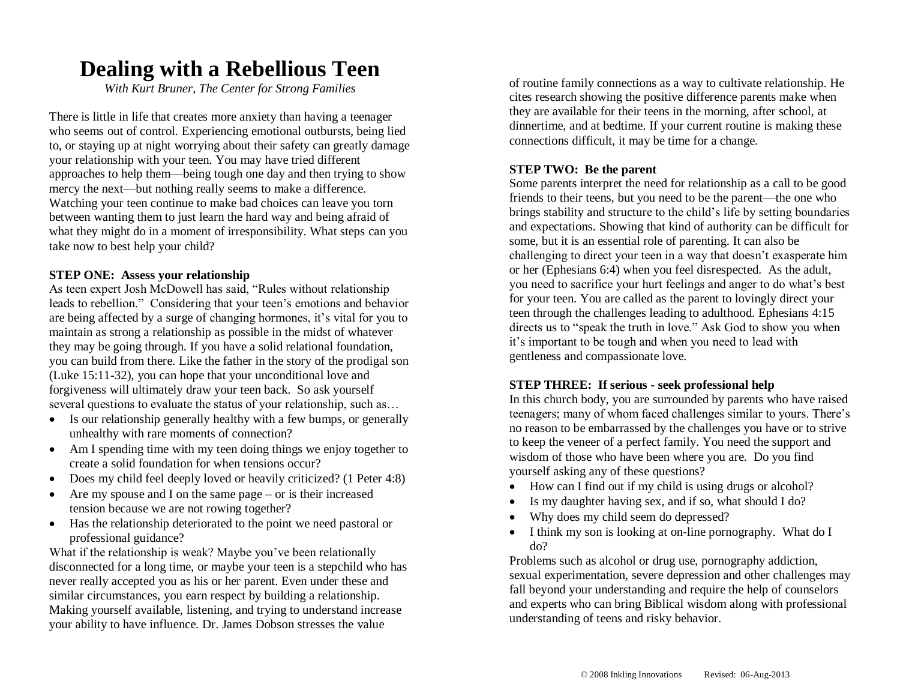## **Dealing with a Rebellious Teen**

*With Kurt Bruner, The Center for Strong Families*

There is little in life that creates more anxiety than having a teenager who seems out of control. Experiencing emotional outbursts, being lied to, or staying up at night worrying about their safety can greatly damage your relationship with your teen. You may have tried different approaches to help them—being tough one day and then trying to show mercy the next—but nothing really seems to make a difference. Watching your teen continue to make bad choices can leave you torn between wanting them to just learn the hard way and being afraid of what they might do in a moment of irresponsibility. What steps can you take now to best help your child?

#### **STEP ONE: Assess your relationship**

As teen expert Josh McDowell has said, "Rules without relationship leads to rebellion." Considering that your teen's emotions and behavior are being affected by a surge of changing hormones, it's vital for you to maintain as strong a relationship as possible in the midst of whatever they may be going through. If you have a solid relational foundation, you can build from there. Like the father in the story of the prodigal son (Luke 15:11-32), you can hope that your unconditional love and forgiveness will ultimately draw your teen back. So ask yourself several questions to evaluate the status of your relationship, such as…

- Is our relationship generally healthy with a few bumps, or generally unhealthy with rare moments of connection?
- Am I spending time with my teen doing things we enjoy together to create a solid foundation for when tensions occur?
- Does my child feel deeply loved or heavily criticized? (1 Peter 4:8)
- Are my spouse and I on the same page or is their increased tension because we are not rowing together?
- Has the relationship deteriorated to the point we need pastoral or professional guidance?

What if the relationship is weak? Maybe you've been relationally disconnected for a long time, or maybe your teen is a stepchild who has never really accepted you as his or her parent. Even under these and similar circumstances, you earn respect by building a relationship. Making yourself available, listening, and trying to understand increase your ability to have influence. Dr. James Dobson stresses the value

of routine family connections as a way to cultivate relationship. He cites research showing the positive difference parents make when they are available for their teens in the morning, after school, at dinnertime, and at bedtime. If your current routine is making these connections difficult, it may be time for a change.

#### **STEP TWO: Be the parent**

Some parents interpret the need for relationship as a call to be good friends to their teens, but you need to be the parent—the one who brings stability and structure to the child's life by setting boundaries and expectations. Showing that kind of authority can be difficult for some, but it is an essential role of parenting. It can also be challenging to direct your teen in a way that doesn't exasperate him or her (Ephesians 6:4) when you feel disrespected. As the adult, you need to sacrifice your hurt feelings and anger to do what's best for your teen. You are called as the parent to lovingly direct your teen through the challenges leading to adulthood. Ephesians 4:15 directs us to "speak the truth in love." Ask God to show you when it's important to be tough and when you need to lead with gentleness and compassionate love.

#### **STEP THREE: If serious - seek professional help**

In this church body, you are surrounded by parents who have raised teenagers; many of whom faced challenges similar to yours. There's no reason to be embarrassed by the challenges you have or to strive to keep the veneer of a perfect family. You need the support and wisdom of those who have been where you are. Do you find yourself asking any of these questions?

- How can I find out if my child is using drugs or alcohol?
- Is my daughter having sex, and if so, what should I do?
- Why does my child seem do depressed?
- I think my son is looking at on-line pornography. What do I do?

Problems such as alcohol or drug use, pornography addiction, sexual experimentation, severe depression and other challenges may fall beyond your understanding and require the help of counselors and experts who can bring Biblical wisdom along with professional understanding of teens and risky behavior.